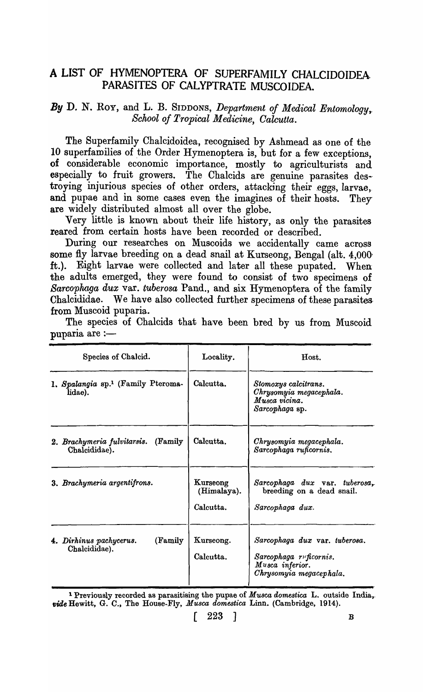## A LIST OF HYMENOPTERA OF SUPERFAMILY CHALCIDOIDEA. PARASITES OF CALYPTRATE MUSCOIDEA.

## *By* D. N. Roy, and L. B. SIDDONS, *Department of Medical Entomology,. School of Tropical Medicine, Oalcutta.*

The Superfamily Chalcidoidea, recognised by Ashmead as one of the 10 superfamilies of the Order Hymenoptera is, but for a few exceptions, of considerable economic importance, mostly to agriculturists and especially to fruit growers. The Chalcids are genuine parasites des-· troying injurious species of other orders, attacking their eggs, larvae, and pupae and in some cases even the imagines of their hosts. They are widely distributed almost all over the globe.

Very little is known about their life history, as only the parasites reared from certain hosts have been recorded or described.

During our researches on Muscoids we accidentally came across some fly larvae breeding on a dead snail at Kurseong, Bengal (alt. 4,000' ft.). Eight larvae were collected and later all these pupated. When the adults emerged, they were found to consist of two specimens of *Sarcophaga dux* var. *tuberosa* Pand., and six Hymenoptera of the family Chalcididae. We have also collected further specimens of these parasites. from Muscoid puparia.

The species of Chalcids that have been bred by us from Muscoid puparia are  $:$ 

| Species of Chalcid.                                       | Locality.                            | Host.                                                                                                 |
|-----------------------------------------------------------|--------------------------------------|-------------------------------------------------------------------------------------------------------|
| 1. Spalangia sp. <sup>1</sup> (Family Pteroma-<br>lidae). | Calcutta.                            | Stomoxys calcitrans.<br>Chrysomyia megacephala.<br>Musca vicina.<br>Sarcophaga sp.                    |
| 2. Brachymeria fulvitarsis. (Family<br>Chalcididae).      | Calcutta.                            | Chrysomyia megacephala.<br>Sarcophaga ruficornis.                                                     |
| 3. Brachymeria argentifrons.                              | Kurseong<br>(Himalaya).<br>Calcutta. | $Sarcophaga$ dux var. tuberosa,<br>breeding on a dead snail.<br>Sarcophaga dux.                       |
| (Family)<br>4. Dirhinus pachycerus.<br>Chalcididae).      | Kurseong.<br>Calcutta.               | Sarcophaga dux var. tuberosa.<br>Sarcophaga ruficornis.<br>Musca inferior.<br>Chrysomyia megacephala. |

1 Previously recorded as parasitising the pupae of *Musca domestica* L. outside India,. vide Hewitt, G. C., The House-Fly, *Musca domestica Linn.* (Cambridge, 1914).

 $\left[ \begin{array}{c} 223 \end{array} \right]$  B